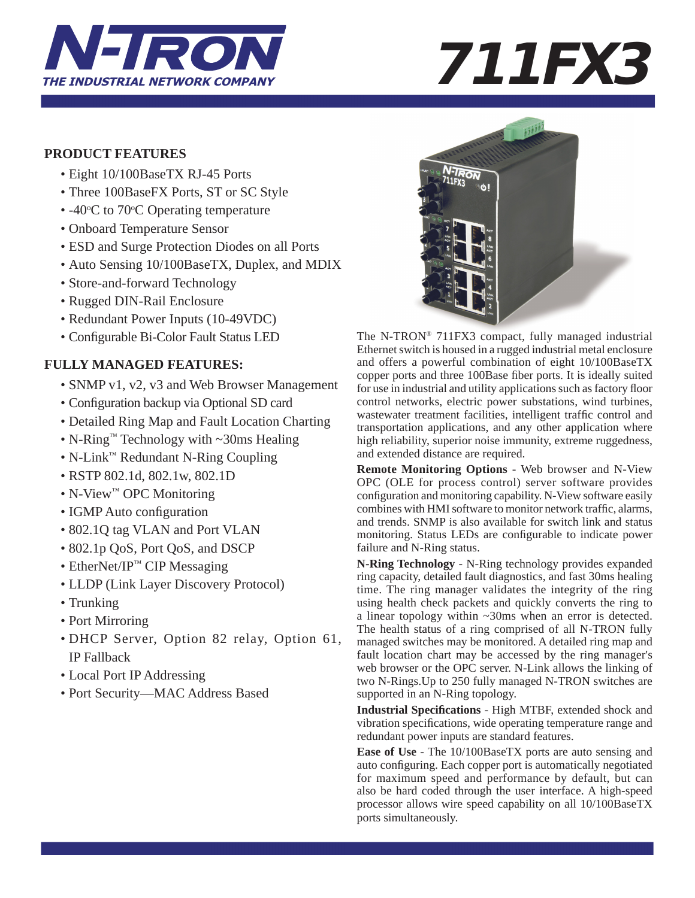

# **PRODUCT FEATURES**

- Eight 10/100BaseTX RJ-45 Ports
- Three 100BaseFX Ports, ST or SC Style
- $-40$ °C to 70°C Operating temperature
	- Onboard Temperature Sensor
	- ESD and Surge Protection Diodes on all Ports
	- Auto Sensing 10/100BaseTX, Duplex, and MDIX
	- Store-and-forward Technology
	- Rugged DIN-Rail Enclosure
	- Redundant Power Inputs (10-49VDC)
	- Configurable Bi-Color Fault Status LED

# **FULLY MANAGED FEATURES:**

- SNMP v1, v2, v3 and Web Browser Management
- Configuration backup via Optional SD card
- Detailed Ring Map and Fault Location Charting
- N-Ring™ Technology with ~30ms Healing
- N-Link™ Redundant N-Ring Coupling
- RSTP 802.1d, 802.1w, 802.1D
- N-View™ OPC Monitoring
- IGMP Auto configuration
- 802.1Q tag VLAN and Port VLAN
- 802.1p QoS, Port QoS, and DSCP
- EtherNet/IP™ CIP Messaging
- LLDP (Link Layer Discovery Protocol)
- Trunking
- Port Mirroring
- DHCP Server, Option 82 relay, Option 61, IP Fallback
- Local Port IP Addressing
- Port Security—MAC Address Based



The N-TRON® 711FX3 compact, fully managed industrial Ethernet switch is housed in a rugged industrial metal enclosure and offers a powerful combination of eight 10/100BaseTX copper ports and three 100Base fiber ports. It is ideally suited for use in industrial and utility applications such as factory floor control networks, electric power substations, wind turbines, wastewater treatment facilities, intelligent traffic control and transportation applications, and any other application where high reliability, superior noise immunity, extreme ruggedness, and extended distance are required.

**Remote Monitoring Options** - Web browser and N-View OPC (OLE for process control) server software provides configuration and monitoring capability. N-View software easily combines with HMI software to monitor network traffic, alarms, and trends. SNMP is also available for switch link and status monitoring. Status LEDs are configurable to indicate power failure and N-Ring status.

**N-Ring Technology** - N-Ring technology provides expanded ring capacity, detailed fault diagnostics, and fast 30ms healing time. The ring manager validates the integrity of the ring using health check packets and quickly converts the ring to a linear topology within ~30ms when an error is detected. The health status of a ring comprised of all N-TRON fully managed switches may be monitored. A detailed ring map and fault location chart may be accessed by the ring manager's web browser or the OPC server. N-Link allows the linking of two N-Rings.Up to 250 fully managed N-TRON switches are supported in an N-Ring topology.

**Industrial Specifi cations** - High MTBF, extended shock and vibration specifications, wide operating temperature range and redundant power inputs are standard features.

**Ease of Use** - The 10/100BaseTX ports are auto sensing and auto configuring. Each copper port is automatically negotiated for maximum speed and performance by default, but can also be hard coded through the user interface. A high-speed processor allows wire speed capability on all 10/100BaseTX ports simultaneously.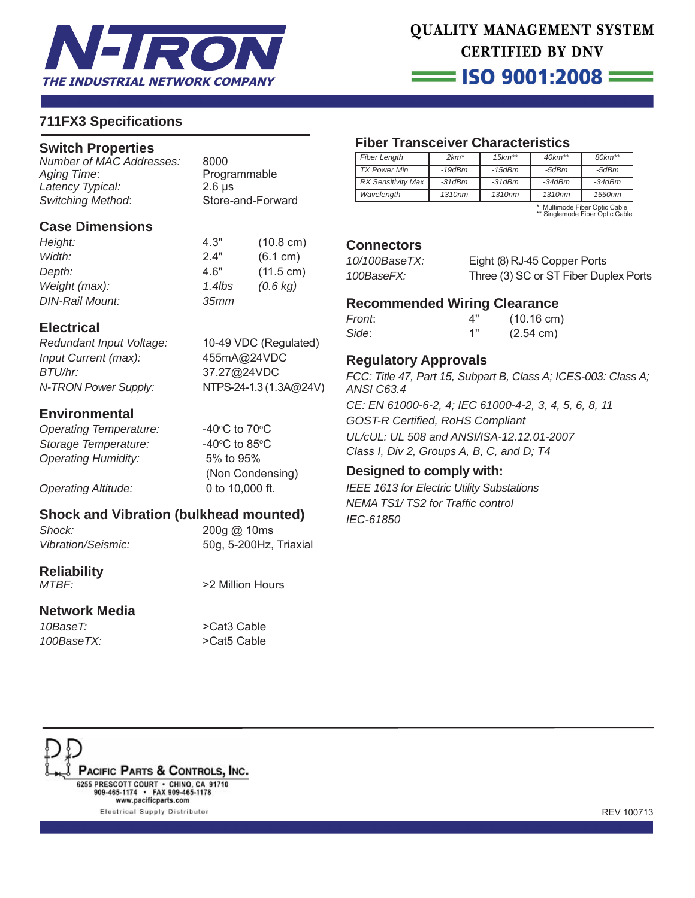

# QUALITY MANAGEMENT SYSTEM **CERTIFIED BY DNV**

 $\equiv$  ISO 9001:2008  $\equiv$ 

# **711FX3 Specifi cations**

#### **Switch Properties**

*Number of MAC Addresses:* 8000 *Latency Typical:* 2.6 μs *Switching Method*: Store-and-Forward

Programmable

#### **Case Dimensions**

| Height:                | 4.3"       | $(10.8 \text{ cm})$ |
|------------------------|------------|---------------------|
| Width:                 | 24"        | (6.1 cm)            |
| Depth:                 | 4.6"       | $(11.5 \text{ cm})$ |
| Weight (max):          | 1.4 $l$ bs | $(0.6 \text{ kg})$  |
| <b>DIN-Rail Mount:</b> | 35mm       |                     |

### **Electrical**

*Redundant Input Voltage:* 10-49 VDC (Regulated) *Input Current (max):* 455mA@24VDC *BTU/hr:* 37.27@24VDC *N-TRON Power Supply:* NTPS-24-1.3 (1.3A**@**24V)

C to  $70^{\circ}$ C

C to  $85^{\circ}$ C

(Non Condensing)

#### **Environmental**

**Operating Temperature: Storage Temperature:** *Operating Humidity:* 5% to 95%

*Operating Altitude:* 0 to 10,000 ft.

# **Shock and Vibration (bulkhead mounted)**

*Shock:* 200g @ 10ms

*Vibration/Seismic:* 50g, 5-200Hz, Triaxial

**Reliability**

#### **Network Media**

*10BaseT:* >Cat3 Cable *100BaseTX:* >Cat5 Cable

*MTBF:* >2 Million Hours



# **Fiber Transceiver Characteristics**

| <b>Fiber Length</b>       | $2km*$             | $15km**$           | $40km**$           | $80km**$ |
|---------------------------|--------------------|--------------------|--------------------|----------|
| <b>TX Power Min</b>       | $-19$ d $Bm$       | $-15$ d $Bm$       | -5dBm              | -5dBm    |
| <b>RX Sensitivity Max</b> | $-31dBm$           | $-31$ d $Bm$       | $-34dBm$           | $-34dBm$ |
| Wavelength                | 1310 <sub>nm</sub> | 1310 <sub>nm</sub> | 1310 <sub>nm</sub> | 1550nm   |

\* Multimode Fiber Optic Cable \*\* Singlemode Fiber Optic Cable

#### **Connectors**

| 10/100BaseTX: | Eight (8) RJ-45 Copper Ports          |
|---------------|---------------------------------------|
| 100BaseFX:    | Three (3) SC or ST Fiber Duplex Ports |

### **Recommended Wiring Clearance**

| Front: | 4" | $(10.16 \text{ cm})$ |
|--------|----|----------------------|
| Side:  | 1" | $(2.54 \text{ cm})$  |

# **Regulatory Approvals**

*FCC: Title 47, Part 15, Subpart B, Class A; ICES-003: Class A; ANSI C63.4*

*CE: EN 61000-6-2, 4; IEC 61000-4-2, 3, 4, 5, 6, 8, 11 GOST-R Certifi ed, RoHS Compliant UL/cUL: UL 508 and ANSI/ISA-12.12.01-2007 Class I, Div 2, Groups A, B, C, and D; T4*

#### **Designed to comply with:**

*IEEE 1613 for Electric Utility Substations NEMA TS1/ TS2 for Traffi c control IEC-61850*